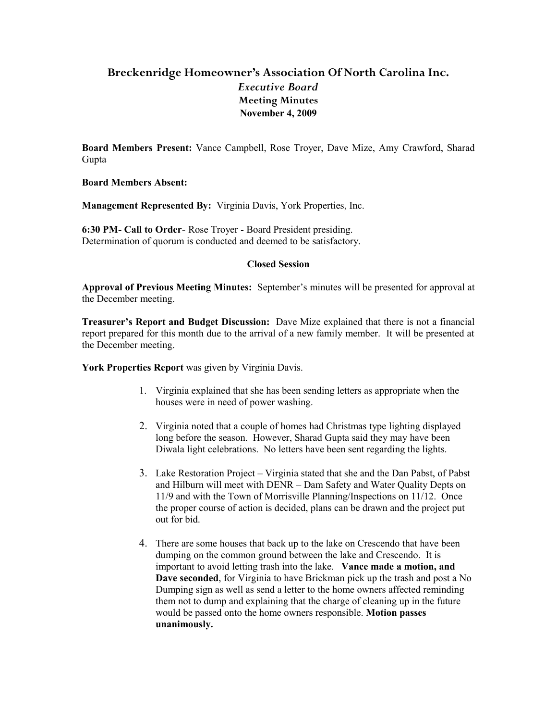## **Breckenridge Homeowner's Association Of North Carolina Inc.** *Executive Board* **Meeting Minutes November 4, 2009**

**Board Members Present:** Vance Campbell, Rose Troyer, Dave Mize, Amy Crawford, Sharad Gupta

**Board Members Absent:** 

**Management Represented By:** Virginia Davis, York Properties, Inc.

**6:30 PM- Call to Order**- Rose Troyer - Board President presiding. Determination of quorum is conducted and deemed to be satisfactory.

## **Closed Session**

**Approval of Previous Meeting Minutes:** September's minutes will be presented for approval at the December meeting.

**Treasurer's Report and Budget Discussion:** Dave Mize explained that there is not a financial report prepared for this month due to the arrival of a new family member. It will be presented at the December meeting.

**York Properties Report** was given by Virginia Davis.

- 1. Virginia explained that she has been sending letters as appropriate when the houses were in need of power washing.
- 2. Virginia noted that a couple of homes had Christmas type lighting displayed long before the season. However, Sharad Gupta said they may have been Diwala light celebrations. No letters have been sent regarding the lights.
- 3. Lake Restoration Project Virginia stated that she and the Dan Pabst, of Pabst and Hilburn will meet with DENR – Dam Safety and Water Quality Depts on 11/9 and with the Town of Morrisville Planning/Inspections on 11/12. Once the proper course of action is decided, plans can be drawn and the project put out for bid.
- 4. There are some houses that back up to the lake on Crescendo that have been dumping on the common ground between the lake and Crescendo. It is important to avoid letting trash into the lake. **Vance made a motion, and Dave seconded**, for Virginia to have Brickman pick up the trash and post a No Dumping sign as well as send a letter to the home owners affected reminding them not to dump and explaining that the charge of cleaning up in the future would be passed onto the home owners responsible. **Motion passes unanimously.**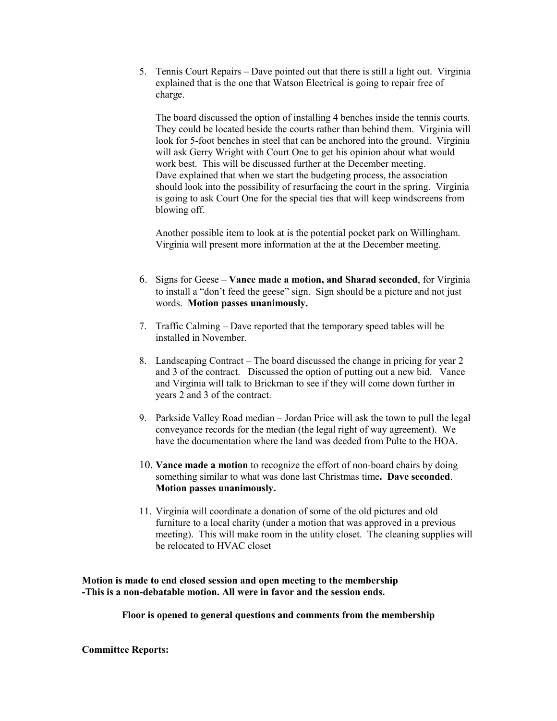5. Tennis Court Repairs – Dave pointed out that there is still a light out. Virginia explained that is the one that Watson Electrical is going to repair free of charge.

The board discussed the option of installing 4 benches inside the tennis courts. They could be located beside the courts rather than behind them. Virginia will look for 5-foot benches in steel that can be anchored into the ground. Virginia will ask Gerry Wright with Court One to get his opinion about what would work best. This will be discussed further at the December meeting. Dave explained that when we start the budgeting process, the association should look into the possibility of resurfacing the court in the spring. Virginia is going to ask Court One for the special ties that will keep windscreens from blowing off.

Another possible item to look at is the potential pocket park on Willingham. Virginia will present more information at the at the December meeting.

- 6. Signs for Geese **Vance made a motion, and Sharad seconded**, for Virginia to install a "don't feed the geese" sign. Sign should be a picture and not just words. **Motion passes unanimously.**
- 7. Traffic Calming Dave reported that the temporary speed tables will be installed in November.
- 8. Landscaping Contract The board discussed the change in pricing for year 2 and 3 of the contract. Discussed the option of putting out a new bid. Vance and Virginia will talk to Brickman to see if they will come down further in years 2 and 3 of the contract.
- 9. Parkside Valley Road median Jordan Price will ask the town to pull the legal conveyance records for the median (the legal right of way agreement). We have the documentation where the land was deeded from Pulte to the HOA.
- 10. **Vance made a motion** to recognize the effort of non-board chairs by doing something similar to what was done last Christmas time**. Dave seconded**. **Motion passes unanimously.**
- 11. Virginia will coordinate a donation of some of the old pictures and old furniture to a local charity (under a motion that was approved in a previous meeting). This will make room in the utility closet. The cleaning supplies will be relocated to HVAC closet

**Motion is made to end closed session and open meeting to the membership -This is a non-debatable motion. All were in favor and the session ends.**

**Floor is opened to general questions and comments from the membership**

**Committee Reports:**